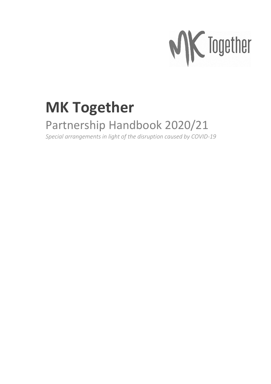

# **MK Together**

### Partnership Handbook 2020/21

*Special arrangements in light of the disruption caused by COVID-19*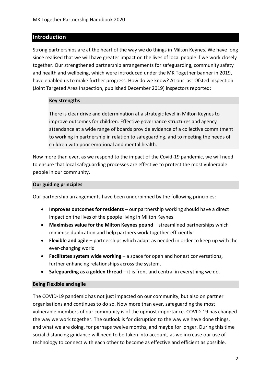#### **Introduction**

Strong partnerships are at the heart of the way we do things in Milton Keynes. We have long since realised that we will have greater impact on the lives of local people if we work closely together. Our strengthened partnership arrangements for safeguarding, community safety and health and wellbeing, which were introduced under the MK Together banner in 2019, have enabled us to make further progress. How do we know? At our last Ofsted inspection (Joint Targeted Area Inspection, published December 2019) inspectors reported:

#### **Key strengths**

There is clear drive and determination at a strategic level in Milton Keynes to improve outcomes for children. Effective governance structures and agency attendance at a wide range of boards provide evidence of a collective commitment to working in partnership in relation to safeguarding, and to meeting the needs of children with poor emotional and mental health.

Now more than ever, as we respond to the impact of the Covid-19 pandemic, we will need to ensure that local safeguarding processes are effective to protect the most vulnerable people in our community.

#### **Our guiding principles**

Our partnership arrangements have been underpinned by the following principles:

- **Improves outcomes for residents** our partnership working should have a direct impact on the lives of the people living in Milton Keynes
- **Maximises value for the Milton Keynes pound** streamlined partnerships which minimise duplication and help partners work together efficiently
- **Flexible and agile** partnerships which adapt as needed in order to keep up with the ever-changing world
- **Facilitates system wide working** a space for open and honest conversations, further enhancing relationships across the system.
- **Safeguarding as a golden thread**  it is front and central in everything we do.

#### **Being Flexible and agile**

The COVID-19 pandemic has not just impacted on our community, but also on partner organisations and continues to do so. Now more than ever, safeguarding the most vulnerable members of our community is of the upmost importance. COVID-19 has changed the way we work together. The outlook is for disruption to the way we have done things, and what we are doing, for perhaps twelve months, and maybe for longer. During this time social distancing guidance will need to be taken into account, as we increase our use of technology to connect with each other to become as effective and efficient as possible.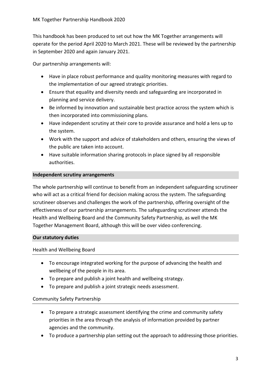This handbook has been produced to set out how the MK Together arrangements will operate for the period April 2020 to March 2021. These will be reviewed by the partnership in September 2020 and again January 2021.

Our partnership arrangements will:

- Have in place robust performance and quality monitoring measures with regard to the implementation of our agreed strategic priorities.
- Ensure that equality and diversity needs and safeguarding are incorporated in planning and service delivery.
- Be informed by innovation and sustainable best practice across the system which is then incorporated into commissioning plans.
- Have independent scrutiny at their core to provide assurance and hold a lens up to the system.
- Work with the support and advice of stakeholders and others, ensuring the views of the public are taken into account.
- Have suitable information sharing protocols in place signed by all responsible authorities.

#### **Independent scrutiny arrangements**

The whole partnership will continue to benefit from an independent safeguarding scrutineer who will act as a critical friend for decision making across the system. The safeguarding scrutineer observes and challenges the work of the partnership, offering oversight of the effectiveness of our partnership arrangements. The safeguarding scrutineer attends the Health and Wellbeing Board and the Community Safety Partnership, as well the MK Together Management Board, although this will be over video conferencing.

#### **Our statutory duties**

#### Health and Wellbeing Board

- To encourage integrated working for the purpose of advancing the health and wellbeing of the people in its area.
- To prepare and publish a joint health and wellbeing strategy.
- To prepare and publish a joint strategic needs assessment.

#### Community Safety Partnership

- To prepare a strategic assessment identifying the crime and community safety priorities in the area through the analysis of information provided by partner agencies and the community.
- To produce a partnership plan setting out the approach to addressing those priorities.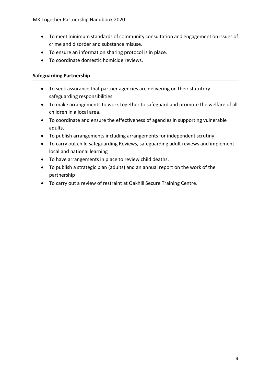- To meet minimum standards of community consultation and engagement on issues of crime and disorder and substance misuse.
- To ensure an information sharing protocol is in place.
- To coordinate domestic homicide reviews.

#### **Safeguarding Partnership**

- To seek assurance that partner agencies are delivering on their statutory safeguarding responsibilities.
- To make arrangements to work together to safeguard and promote the welfare of all children in a local area.
- To coordinate and ensure the effectiveness of agencies in supporting vulnerable adults.
- To publish arrangements including arrangements for independent scrutiny.
- To carry out child safeguarding Reviews, safeguarding adult reviews and implement local and national learning
- To have arrangements in place to review child deaths.
- To publish a strategic plan (adults) and an annual report on the work of the partnership
- To carry out a review of restraint at Oakhill Secure Training Centre.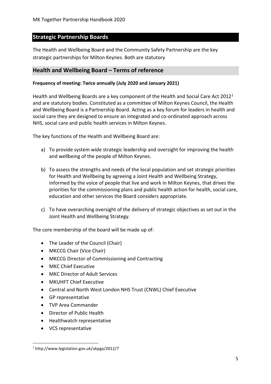#### **Strategic Partnership Boards**

The Health and Wellbeing Board and the Community Safety Partnership are the key strategic partnerships for Milton Keynes. Both are statutory

#### **Health and Wellbeing Board – Terms of reference**

#### **Frequency of meeting: Twice annually (July 2020 and January 2021)**

Health and Wellbeing Boards are a key component of the Health and Social Care Act 2012<sup>1</sup> and are statutory bodies. Constituted as a committee of Milton Keynes Council, the Health and Wellbeing Board is a Partnership Board. Acting as a key forum for leaders in health and social care they are designed to ensure an integrated and co-ordinated approach across NHS, social care and public health services in Milton Keynes.

The key functions of the Health and Wellbeing Board are:

- a) To provide system wide strategic leadership and oversight for improving the health and wellbeing of the people of Milton Keynes.
- b) To assess the strengths and needs of the local population and set strategic priorities for Health and Wellbeing by agreeing a Joint Health and Wellbeing Strategy, informed by the voice of people that live and work in Milton Keynes, that drives the priorities for the commissioning plans and public health action for health, social care, education and other services the Board considers appropriate.
- c) To have overarching oversight of the delivery of strategic objectives as set out in the Joint Health and Wellbeing Strategy.

The core membership of the board will be made up of:

- The Leader of the Council (Chair)
- MKCCG Chair (Vice Chair)
- MKCCG Director of Commissioning and Contracting
- MKC Chief Executive
- MKC Director of Adult Services
- MKUHFT Chief Executive
- Central and North West London NHS Trust (CNWL) Chief Executive
- GP representative
- TVP Area Commander
- Director of Public Health
- Healthwatch representative
- VCS representative

<sup>1</sup> http://www.legislation.gov.uk/ukpga/2012/7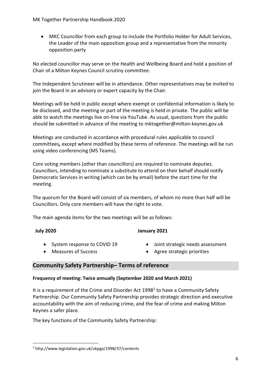• MKC Councillor from each group to include the Portfolio Holder for Adult Services, the Leader of the main opposition group and a representative from the minority opposition party

No elected councillor may serve on the Health and Wellbeing Board and hold a position of Chair of a Milton Keynes Council scrutiny committee.

The Independent Scrutineer will be in attendance. Other representatives may be invited to join the Board in an advisory or expert capacity by the Chair.

Meetings will be held in public except where exempt or confidential information is likely to be disclosed, and the meeting or part of the meeting is held in private. The public will be able to watch the meetings live on-line via YouTube. As usual, questions from the public should be submitted in advance of the meeting to mktogether@milton-keynes.gov.uk

Meetings are conducted in accordance with procedural rules applicable to council committees*,* except where modified by these terms of reference. The meetings will be run using video conferencing (MS Teams).

Core voting members (other than councillors) are required to nominate deputies. Councillors, intending to nominate a substitute to attend on their behalf should notify Democratic Services in writing (which can be by email) before the start time for the meeting.

The quorum for the Board will consist of six members, of whom no more than half will be Councillors. Only core members will have the right to vote.

The main agenda items for the two meetings will be as follows:

#### **July 2020**

#### **January 2021**

- System response to COVID 19
- Measures of Success
- Joint strategic needs assessment
- Agree strategic priorities

#### **Community Safety Partnership– Terms of reference**

#### **Frequency of meeting: Twice annually (September 2020 and March 2021)**

It is a requirement of the Crime and Disorder Act 1998<sup>2</sup> to have a Community Safety Partnership. Our Community Safety Partnership provides strategic direction and executive accountability with the aim of reducing crime, and the fear of crime and making Milton Keynes a safer place.

The key functions of the Community Safety Partnership:

<sup>2</sup> http://www.legislation.gov.uk/ukpga/1998/37/contents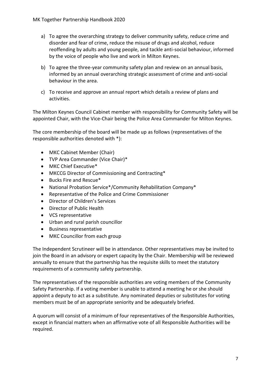- a) To agree the overarching strategy to deliver community safety, reduce crime and disorder and fear of crime, reduce the misuse of drugs and alcohol, reduce reoffending by adults and young people, and tackle anti-social behaviour, informed by the voice of people who live and work in Milton Keynes.
- b) To agree the three-year community safety plan and review on an annual basis, informed by an annual overarching strategic assessment of crime and anti-social behaviour in the area.
- c) To receive and approve an annual report which details a review of plans and activities.

The Milton Keynes Council Cabinet member with responsibility for Community Safety will be appointed Chair, with the Vice-Chair being the Police Area Commander for Milton Keynes.

The core membership of the board will be made up as follows (representatives of the responsible authorities denoted with \*):

- MKC Cabinet Member (Chair)
- TVP Area Commander (Vice Chair)\*
- MKC Chief Executive\*
- MKCCG Director of Commissioning and Contracting\*
- Bucks Fire and Rescue\*
- National Probation Service\*/Community Rehabilitation Company\*
- Representative of the Police and Crime Commissioner
- Director of Children's Services
- Director of Public Health
- VCS representative
- Urban and rural parish councillor
- Business representative
- MKC Councillor from each group

The Independent Scrutineer will be in attendance. Other representatives may be invited to join the Board in an advisory or expert capacity by the Chair. Membership will be reviewed annually to ensure that the partnership has the requisite skills to meet the statutory requirements of a community safety partnership.

The representatives of the responsible authorities are voting members of the Community Safety Partnership. If a voting member is unable to attend a meeting he or she should appoint a deputy to act as a substitute. Any nominated deputies or substitutes for voting members must be of an appropriate seniority and be adequately briefed.

A quorum will consist of a minimum of four representatives of the Responsible Authorities, except in financial matters when an affirmative vote of all Responsible Authorities will be required.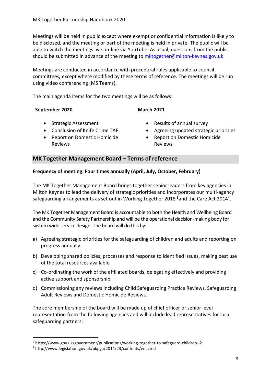Meetings will be held in public except where exempt or confidential information is likely to be disclosed, and the meeting or part of the meeting is held in private. The public will be able to watch the meetings live on-line via YouTube. As usual, questions from the public should be submitted in advance of the meeting to [mktogether@milton-keynes.gov.uk](mailto:mktogether@milton-keynes.gov.uk)

Meetings are conducted in accordance with procedural rules applicable to council committees*,* except where modified by these terms of reference. The meetings will be run using video conferencing (MS Teams).

The main agenda items for the two meetings will be as follows:

#### **September 2020**

#### **March 2021**

- Strategic Assessment
- Conclusion of Knife Crime TAF
- Report on Domestic Homicide Reviews
- Results of annual survey
- Agreeing updated strategic priorities
- Report on Domestic Homicide Reviews

#### **MK Together Management Board – Terms of reference**

#### **Frequency of meeting: Four times annually (April, July, October, February)**

The MK Together Management Board brings together senior leaders from key agencies in Milton Keynes to lead the delivery of strategic priorities and incorporates our multi-agency safeguarding arrangements as set out in Working Together 2018<sup>3</sup> and the Care Act 2014<sup>4</sup>.

The MK Together Management Board is accountable to both the Health and Wellbeing Board and the Community Safety Partnership and will be the operational decision-making body for system wide service design. The board will do this by:

- a) Agreeing strategic priorities for the safeguarding of children and adults and reporting on progress annually.
- b) Developing shared policies, processes and response to identified issues, making best use of the total resources available.
- c) Co-ordinating the work of the affiliated boards, delegating effectively and providing active support and sponsorship.
- d) Commissioning any reviews including Child Safeguarding Practice Reviews, Safeguarding Adult Reviews and Domestic Homicide Reviews.

The core membership of the board will be made up of chief officer or senior level representation from the following agencies and will include lead representatives for local safeguarding partners:

<sup>3</sup> https://www.gov.uk/government/publications/working-together-to-safeguard-children--2

<sup>4</sup> http://www.legislation.gov.uk/ukpga/2014/23/contents/enacted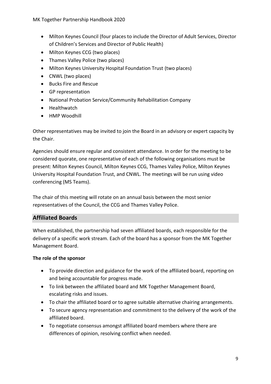- Milton Keynes Council (four places to include the Director of Adult Services, Director of Children's Services and Director of Public Health)
- Milton Keynes CCG (two places)
- Thames Valley Police (two places)
- Milton Keynes University Hospital Foundation Trust (two places)
- CNWL (two places)
- Bucks Fire and Rescue
- GP representation
- National Probation Service/Community Rehabilitation Company
- Healthwatch
- HMP Woodhill

Other representatives may be invited to join the Board in an advisory or expert capacity by the Chair.

Agencies should ensure regular and consistent attendance. In order for the meeting to be considered quorate, one representative of each of the following organisations must be present: Milton Keynes Council, Milton Keynes CCG, Thames Valley Police, Milton Keynes University Hospital Foundation Trust, and CNWL. The meetings will be run using video conferencing (MS Teams).

The chair of this meeting will rotate on an annual basis between the most senior representatives of the Council, the CCG and Thames Valley Police.

#### **Affiliated Boards**

When established, the partnership had seven affiliated boards, each responsible for the delivery of a specific work stream. Each of the board has a sponsor from the MK Together Management Board.

#### **The role of the sponsor**

- To provide direction and guidance for the work of the affiliated board, reporting on and being accountable for progress made.
- To link between the affiliated board and MK Together Management Board, escalating risks and issues.
- To chair the affiliated board or to agree suitable alternative chairing arrangements.
- To secure agency representation and commitment to the delivery of the work of the affiliated board.
- To negotiate consensus amongst affiliated board members where there are differences of opinion, resolving conflict when needed.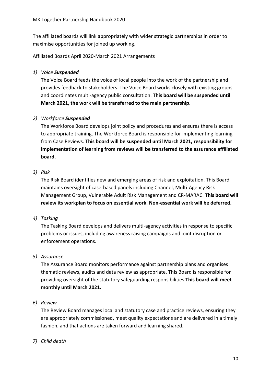The affiliated boards will link appropriately with wider strategic partnerships in order to maximise opportunities for joined up working.

#### Affiliated Boards April 2020-March 2021 Arrangements

#### *1) Voice Suspended*

The Voice Board feeds the voice of local people into the work of the partnership and provides feedback to stakeholders. The Voice Board works closely with existing groups and coordinates multi-agency public consultation. **This board will be suspended until March 2021, the work will be transferred to the main partnership.** 

#### *2) Workforce Suspended*

The Workforce Board develops joint policy and procedures and ensures there is access to appropriate training. The Workforce Board is responsible for implementing learning from Case Reviews. **This board will be suspended until March 2021, responsibility for implementation of learning from reviews will be transferred to the assurance affiliated board.**

#### *3) Risk*

The Risk Board identifies new and emerging areas of risk and exploitation. This Board maintains oversight of case-based panels including Channel, Multi-Agency Risk Management Group, Vulnerable Adult Risk Management and CR-MARAC. **This board will review its workplan to focus on essential work. Non-essential work will be deferred.**

#### *4) Tasking*

The Tasking Board develops and delivers multi-agency activities in response to specific problems or issues, including awareness raising campaigns and joint disruption or enforcement operations.

#### *5) Assurance*

The Assurance Board monitors performance against partnership plans and organises thematic reviews, audits and data review as appropriate. This Board is responsible for providing oversight of the statutory safeguarding responsibilities **This board will meet monthly until March 2021.** 

#### *6) Review*

The Review Board manages local and statutory case and practice reviews, ensuring they are appropriately commissioned, meet quality expectations and are delivered in a timely fashion, and that actions are taken forward and learning shared.

#### *7) Child death*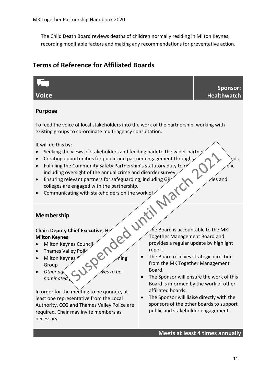The Child Death Board reviews deaths of children normally residing in Milton Keynes, recording modifiable factors and making any recommendations for preventative action.

#### **Terms of Reference for Affiliated Boards**



**Reporting**

#### **Purpose**

To feed the voice of local stakeholders into the work of the partnership, working with existing groups to co-ordinate multi-agency consultation.

It will do this by:

- Seeking the views of stakeholders and feeding back to the wider partner
- Creating opportunities for public and partner engagement through  $\sim \sim \sqrt{v}$
- Fulfilling the Community Safety Partnership's statutory duty to  $\varphi$ including oversight of the annual crime and disorder survey.
- Ensuring relevant partners for safeguarding, including GP $\sim$ colleges are engaged with the partnership.
- Communicating with stakeholders on the work of  $\sim$

#### **Membership**

#### **Chair: Deputy Chief Executive, Health Milton Keynes**

- Milton Keynes Council
- Thames Valley Po
- Milton Keynes  $\sim$  Ming Group
- Other agency *dives to be nominated*

In order for the meeting to be quorate, at least one representative from the Local Authority, CCG and Thames Valley Police are required. Chair may invite members as necessary.

 $\triangle$ ne Board is accountable to the MK Together Management Board and provides a regular update by highlight report.

- The Board receives strategic direction from the MK Together Management Board.
- The Sponsor will ensure the work of this Board is informed by the work of other affiliated boards.
- The Sponsor will liaise directly with the sponsors of the other boards to support public and stakeholder engagement.

#### **Meets at least 4 times annually**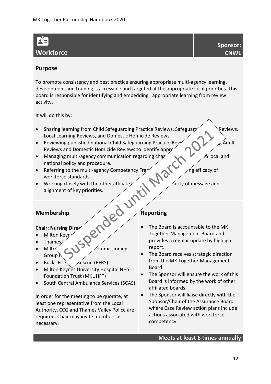# **Workforce**

#### **Purpose**

To promote consistency and best practice ensuring appropriate multi-agency learning, development and training is accessible and targeted at the appropriate local priorities. This board is responsible for identifying and embedding appropriate learning from review activity.

It will do this by:

- Sharing learning from Child Safeguarding Practice Reviews, Safeguard  $\mathcal{P}$  Reviews, Local Learning Reviews, and Domestic Homicide Reviews.
- Reviewing published national Child Safeguarding Practice Reviews,  $\mathbb{Z}$  Adult Reviews and Domestic Homicide Reviews to identify appropriate  $\sim$
- Managing multi-agency communication regarding changes and updates to local and national policy and procedure.
- Referring to the multi-agency Competency Framework assessment for a settle and the efficacy of workforce standards.
- Working closely with the other affiliate  $\mathcal{P}$  arity of message and alignment of key priorities.

#### **Membership**

#### **Chair: Nursing Direat**

- Milton Keyn
- Thames
- Milto $\leftarrow$   $\leftarrow$  Commissioning Group  $\mathfrak h$
- Bucks Fire  $\overline{\triangle}$  escue (BFRS)
- Milton Keynes University Hospital NHS Foundation Trust (MKUHFT)
- South Central Ambulance Services (SCAS)

In order for the meeting to be quorate, at least one representative from the Local Authority, CCG and Thames Valley Police are required. Chair may invite members as necessary.

#### **Reporting**

- The Board is accountable to the MK Together Management Board and provides a regular update by highlight report.
- The Board receives strategic direction from the MK Together Management Board.
- The Sponsor will ensure the work of this Board is informed by the work of other affiliated boards.
- The Sponsor will liaise directly with the Sponsor/Chair of the Assurance Board where Case Review action plans include actions associated with workforce competency.

#### **Meets at least 6 times annually**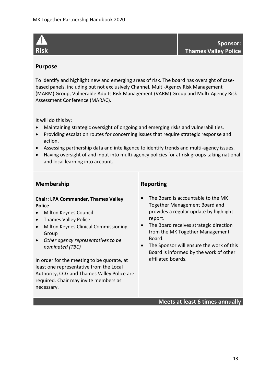

**Sponsor: Thames Valley Police**

#### **Purpose**

To identify and highlight new and emerging areas of risk. The board has oversight of casebased panels, including but not exclusively Channel, Multi-Agency Risk Management (MARM) Group, Vulnerable Adults Risk Management (VARM) Group and Multi-Agency Risk Assessment Conference (MARAC).

It will do this by:

- Maintaining strategic oversight of ongoing and emerging risks and vulnerabilities.
- Providing escalation routes for concerning issues that require strategic response and action.
- Assessing partnership data and intelligence to identify trends and multi-agency issues.
- Having oversight of and input into multi-agency policies for at risk groups taking national and local learning into account.

#### **Membership**

#### **Chair: LPA Commander, Thames Valley Police**

- Milton Keynes Council
- Thames Valley Police
- Milton Keynes Clinical Commissioning Group
- *Other agency representatives to be nominated (TBC)*

In order for the meeting to be quorate, at least one representative from the Local Authority, CCG and Thames Valley Police are required. Chair may invite members as necessary.

#### **Reporting**

- The Board is accountable to the MK Together Management Board and provides a regular update by highlight report.
- The Board receives strategic direction from the MK Together Management Board.
- The Sponsor will ensure the work of this Board is informed by the work of other affiliated boards.

**Meets at least 6 times annually**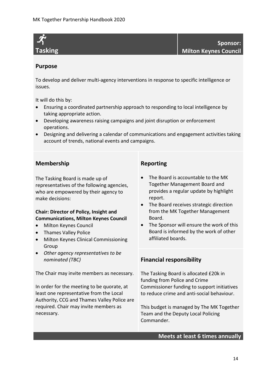

#### **Purpose**

To develop and deliver multi-agency interventions in response to specific intelligence or issues.

It will do this by:

- Ensuring a coordinated partnership approach to responding to local intelligence by taking appropriate action.
- Developing awareness raising campaigns and joint disruption or enforcement operations.
- Designing and delivering a calendar of communications and engagement activities taking account of trends, national events and campaigns.

#### **Membership**

The Tasking Board is made up of representatives of the following agencies, who are empowered by their agency to make decisions:

#### **Chair: Director of Policy, Insight and Communications, Milton Keynes Council**

- Milton Keynes Council
- Thames Valley Police
- Milton Keynes Clinical Commissioning Group
- *Other agency representatives to be nominated (TBC)*

The Chair may invite members as necessary.

In order for the meeting to be quorate, at least one representative from the Local Authority, CCG and Thames Valley Police are required. Chair may invite members as necessary.

#### **Reporting**

- The Board is accountable to the MK Together Management Board and provides a regular update by highlight report.
- The Board receives strategic direction from the MK Together Management Board.
- The Sponsor will ensure the work of this Board is informed by the work of other affiliated boards.

#### **Financial responsibility**

The Tasking Board is allocated £20k in funding from Police and Crime Commissioner funding to support initiatives to reduce crime and anti-social behaviour.

This budget is managed by The MK Together Team and the Deputy Local Policing Commander.

#### **Meets at least 6 times annually**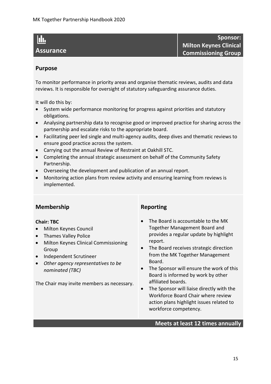#### hh.

#### **Assurance**

**Sponsor: Milton Keynes Clinical Commissioning Group**

#### **Purpose**

To monitor performance in priority areas and organise thematic reviews, audits and data reviews. It is responsible for oversight of statutory safeguarding assurance duties.

It will do this by:

- System wide performance monitoring for progress against priorities and statutory obligations.
- Analysing partnership data to recognise good or improved practice for sharing across the partnership and escalate risks to the appropriate board.
- Facilitating peer led single and multi-agency audits, deep dives and thematic reviews to ensure good practice across the system.
- Carrying out the annual Review of Restraint at Oakhill STC.
- Completing the annual strategic assessment on behalf of the Community Safety Partnership.
- Overseeing the development and publication of an annual report.
- Monitoring action plans from review activity and ensuring learning from reviews is implemented.

#### **Membership**

#### **Chair: TBC**

- Milton Keynes Council
- Thames Valley Police
- Milton Keynes Clinical Commissioning Group
- Independent Scrutineer
- *Other agency representatives to be nominated (TBC)*

The Chair may invite members as necessary.

#### **Reporting**

- The Board is accountable to the MK Together Management Board and provides a regular update by highlight report.
- The Board receives strategic direction from the MK Together Management Board.
- The Sponsor will ensure the work of this Board is informed by work by other affiliated boards.
- The Sponsor will liaise directly with the Workforce Board Chair where review action plans highlight issues related to workforce competency.

#### **Meets at least 12 times annually**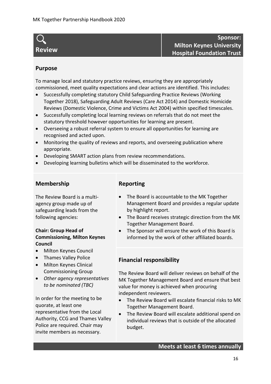## **Review**

**Sponsor: Milton Keynes University Hospital Foundation Trust**

#### **Purpose**

To manage local and statutory practice reviews, ensuring they are appropriately commissioned, meet quality expectations and clear actions are identified. This includes:

- Successfully completing statutory Child Safeguarding Practice Reviews (Working Together 2018), Safeguarding Adult Reviews (Care Act 2014) and Domestic Homicide Reviews (Domestic Violence, Crime and Victims Act 2004) within specified timescales.
- Successfully completing local learning reviews on referrals that do not meet the statutory threshold however opportunities for learning are present.
- Overseeing a robust referral system to ensure all opportunities for learning are recognised and acted upon.
- Monitoring the quality of reviews and reports, and overseeing publication where appropriate.
- Developing SMART action plans from review recommendations.
- Developing learning bulletins which will be disseminated to the workforce.

#### **Membership**

The Review Board is a multiagency group made up of safeguarding leads from the following agencies:

#### **Chair: Group Head of Commissioning, Milton Keynes Council**

- Milton Keynes Council
- Thames Valley Police
- Milton Keynes Clinical Commissioning Group
- *Other agency representatives to be nominated (TBC)*

In order for the meeting to be quorate, at least one representative from the Local Authority, CCG and Thames Valley Police are required. Chair may invite members as necessary.

#### **Reporting**

- The Board is accountable to the MK Together Management Board and provides a regular update by highlight report.
- The Board receives strategic direction from the MK Together Management Board.
- The Sponsor will ensure the work of this Board is informed by the work of other affiliated boards.

#### **Financial responsibility**

The Review Board will deliver reviews on behalf of the MK Together Management Board and ensure that best value for money is achieved when procuring independent reviewers.

- The Review Board will escalate financial risks to MK Together Management Board.
- The Review Board will escalate additional spend on individual reviews that is outside of the allocated budget.